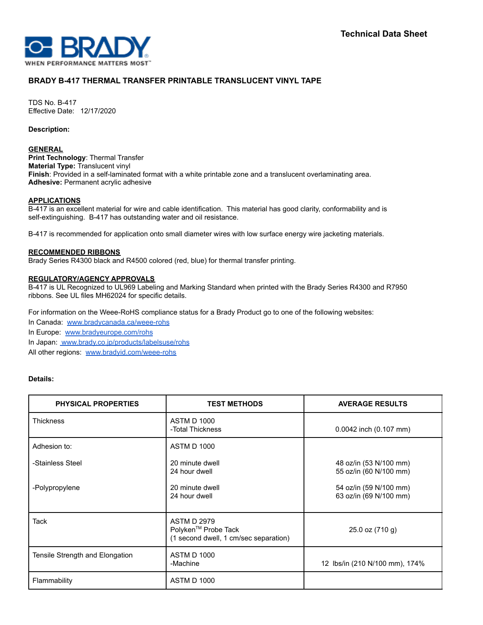

# **BRADY B-417 THERMAL TRANSFER PRINTABLE TRANSLUCENT VINYL TAPE**

TDS No. B-417 Effective Date: 12/17/2020

**Description:**

#### **GENERAL**

**Print Technology**: Thermal Transfer **Material Type:** Translucent vinyl **Finish**: Provided in a self-laminated format with a white printable zone and a translucent overlaminating area. **Adhesive:** Permanent acrylic adhesive

## **APPLICATIONS**

B-417 is an excellent material for wire and cable identification. This material has good clarity, conformability and is self-extinguishing. B-417 has outstanding water and oil resistance.

B-417 is recommended for application onto small diameter wires with low surface energy wire jacketing materials.

## **RECOMMENDED RIBBONS**

Brady Series R4300 black and R4500 colored (red, blue) for thermal transfer printing.

## **REGULATORY/AGENCY APPROVALS**

B-417 is UL Recognized to UL969 Labeling and Marking Standard when printed with the Brady Series R4300 and R7950 ribbons. See UL files MH62024 for specific details.

For information on the Weee-RoHS compliance status for a Brady Product go to one of the following websites:

In Canada: [www.bradycanada.ca/weee-rohs](http://www.bradycanada.ca/weee-rohs)

In Europe: [www.bradyeurope.com/rohs](http://www.bradyeurope.com/rohs)

In Japan: www.[brady.co.jp/products/labelsuse/rohs](https://brady.co.jp/products/labelsuse/rohs)

All other regions: [www.bradyid.com/weee-rohs](http://www.bradyid.com/weee-rohs)

# **Details:**

| <b>PHYSICAL PROPERTIES</b>      | <b>TEST METHODS</b>                                                                            | <b>AVERAGE RESULTS</b>                           |
|---------------------------------|------------------------------------------------------------------------------------------------|--------------------------------------------------|
| <b>Thickness</b>                | <b>ASTM D 1000</b><br>-Total Thickness                                                         | $0.0042$ inch $(0.107$ mm)                       |
| Adhesion to:                    | <b>ASTM D 1000</b>                                                                             |                                                  |
| -Stainless Steel                | 20 minute dwell<br>24 hour dwell                                                               | 48 oz/in (53 N/100 mm)<br>55 oz/in (60 N/100 mm) |
| -Polypropylene                  | 20 minute dwell<br>24 hour dwell                                                               | 54 oz/in (59 N/100 mm)<br>63 oz/in (69 N/100 mm) |
| Tack                            | <b>ASTM D 2979</b><br>Polyken <sup>™</sup> Probe Tack<br>(1 second dwell, 1 cm/sec separation) | $25.0$ oz $(710q)$                               |
| Tensile Strength and Elongation | <b>ASTM D 1000</b><br>-Machine                                                                 | 12 lbs/in (210 N/100 mm), 174%                   |
| Flammability                    | <b>ASTM D 1000</b>                                                                             |                                                  |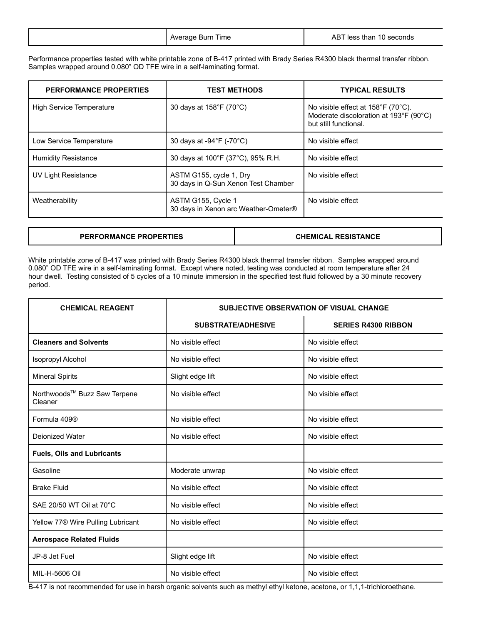Performance properties tested with white printable zone of B-417 printed with Brady Series R4300 black thermal transfer ribbon. Samples wrapped around 0.080" OD TFE wire in a self-laminating format.

| <b>PERFORMANCE PROPERTIES</b>   | <b>TEST METHODS</b>                                            | <b>TYPICAL RESULTS</b>                                                                                |
|---------------------------------|----------------------------------------------------------------|-------------------------------------------------------------------------------------------------------|
| <b>High Service Temperature</b> | 30 days at 158°F (70°C)                                        | No visible effect at 158°F (70°C).<br>Moderate discoloration at 193°F (90°C)<br>but still functional. |
| Low Service Temperature         | 30 days at -94°F (-70°C)                                       | No visible effect                                                                                     |
| <b>Humidity Resistance</b>      | 30 days at 100°F (37°C), 95% R.H.                              | No visible effect                                                                                     |
| <b>UV Light Resistance</b>      | ASTM G155, cycle 1, Dry<br>30 days in Q-Sun Xenon Test Chamber | No visible effect                                                                                     |
| Weatherability                  | ASTM G155, Cycle 1<br>30 days in Xenon arc Weather-Ometer®     | No visible effect                                                                                     |

# **PERFORMANCE PROPERTIES CHEMICAL RESISTANCE**

White printable zone of B-417 was printed with Brady Series R4300 black thermal transfer ribbon. Samples wrapped around 0.080" OD TFE wire in a self-laminating format. Except where noted, testing was conducted at room temperature after 24 hour dwell. Testing consisted of 5 cycles of a 10 minute immersion in the specified test fluid followed by a 30 minute recovery period.

| <b>CHEMICAL REAGENT</b>                       | <b>SUBJECTIVE OBSERVATION OF VISUAL CHANGE</b> |                            |
|-----------------------------------------------|------------------------------------------------|----------------------------|
|                                               | <b>SUBSTRATE/ADHESIVE</b>                      | <b>SERIES R4300 RIBBON</b> |
| <b>Cleaners and Solvents</b>                  | No visible effect                              | No visible effect          |
| Isopropyl Alcohol                             | No visible effect                              | No visible effect          |
| <b>Mineral Spirits</b>                        | Slight edge lift                               | No visible effect          |
| Northwoods™ Buzz Saw Terpene<br>Cleaner       | No visible effect                              | No visible effect          |
| Formula 409 <sup>®</sup>                      | No visible effect                              | No visible effect          |
| Deionized Water                               | No visible effect                              | No visible effect          |
| <b>Fuels, Oils and Lubricants</b>             |                                                |                            |
| Gasoline                                      | Moderate unwrap                                | No visible effect          |
| <b>Brake Fluid</b>                            | No visible effect                              | No visible effect          |
| SAE 20/50 WT Oil at 70°C                      | No visible effect                              | No visible effect          |
| Yellow 77 <sup>®</sup> Wire Pulling Lubricant | No visible effect                              | No visible effect          |
| <b>Aerospace Related Fluids</b>               |                                                |                            |
| JP-8 Jet Fuel                                 | Slight edge lift                               | No visible effect          |
| MIL-H-5606 Oil                                | No visible effect                              | No visible effect          |

B-417 is not recommended for use in harsh organic solvents such as methyl ethyl ketone, acetone, or 1,1,1-trichloroethane.